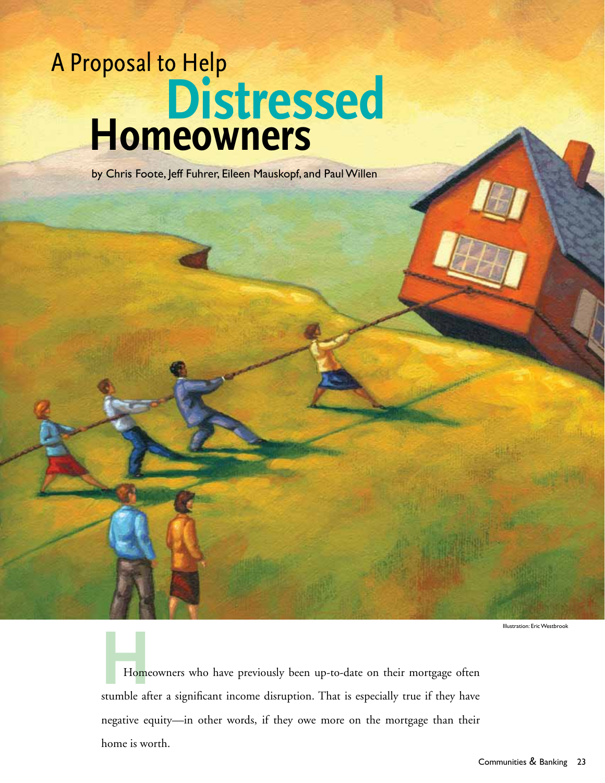# A Proposal to Help **Distressed Homeowners**

by Chris Foote, Jeff Fuhrer, Eileen Mauskopf, and Paul Willen

Illustration: Eric Westbrook

**Home**<br>stumble aff Homeowners who have previously been up-to-date on their mortgage often stumble after a significant income disruption. That is especially true if they have negative equity—in other words, if they owe more on the mortgage than their home is worth.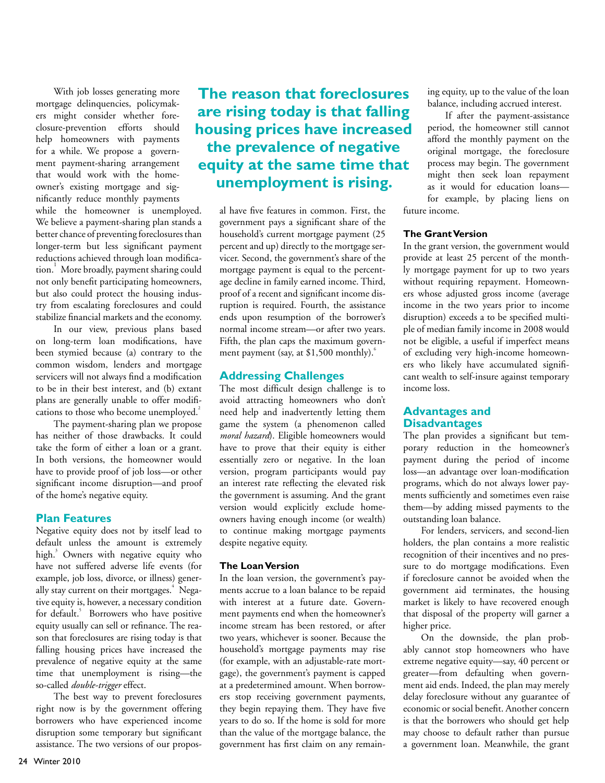With job losses generating more mortgage delinquencies, policymakers might consider whether foreclosure-prevention efforts should help homeowners with payments for a while. We propose a government payment-sharing arrangement that would work with the homeowner's existing mortgage and significantly reduce monthly payments while the homeowner is unemployed. We believe a payment-sharing plan stands a better chance of preventing foreclosures than longer-term but less significant payment reductions achieved through loan modification.<sup>1</sup> More broadly, payment sharing could not only benefit participating homeowners, but also could protect the housing industry from escalating foreclosures and could stabilize financial markets and the economy.

In our view, previous plans based on long-term loan modifications, have been stymied because (a) contrary to the common wisdom, lenders and mortgage servicers will not always find a modification to be in their best interest, and (b) extant plans are generally unable to offer modifications to those who become unemployed.<sup>2</sup>

The payment-sharing plan we propose has neither of those drawbacks. It could take the form of either a loan or a grant. In both versions, the homeowner would have to provide proof of job loss—or other significant income disruption—and proof of the home's negative equity.

#### **Plan Features**

Negative equity does not by itself lead to default unless the amount is extremely high.<sup>3</sup> Owners with negative equity who have not suffered adverse life events (for example, job loss, divorce, or illness) generally stay current on their mortgages.<sup>4</sup> Negative equity is, however, a necessary condition for default.<sup>5</sup> Borrowers who have positive equity usually can sell or refinance. The reason that foreclosures are rising today is that falling housing prices have increased the prevalence of negative equity at the same time that unemployment is rising—the so-called *double-trigger* effect.

The best way to prevent foreclosures right now is by the government offering borrowers who have experienced income disruption some temporary but significant assistance. The two versions of our propos-

## **The reason that foreclosures are rising today is that falling housing prices have increased the prevalence of negative equity at the same time that unemployment is rising.**

al have five features in common. First, the government pays a significant share of the household's current mortgage payment (25 percent and up) directly to the mortgage servicer. Second, the government's share of the mortgage payment is equal to the percentage decline in family earned income. Third, proof of a recent and significant income disruption is required. Fourth, the assistance ends upon resumption of the borrower's normal income stream—or after two years. Fifth, the plan caps the maximum government payment (say, at  $$1,500$  monthly).<sup>6</sup>

### **Addressing Challenges**

The most difficult design challenge is to avoid attracting homeowners who don't need help and inadvertently letting them game the system (a phenomenon called *moral hazard*). Eligible homeowners would have to prove that their equity is either essentially zero or negative. In the loan version, program participants would pay an interest rate reflecting the elevated risk the government is assuming. And the grant version would explicitly exclude homeowners having enough income (or wealth) to continue making mortgage payments despite negative equity.

#### **The Loan Version**

In the loan version, the government's payments accrue to a loan balance to be repaid with interest at a future date. Government payments end when the homeowner's income stream has been restored, or after two years, whichever is sooner. Because the household's mortgage payments may rise (for example, with an adjustable-rate mortgage), the government's payment is capped at a predetermined amount. When borrowers stop receiving government payments, they begin repaying them. They have five years to do so. If the home is sold for more than the value of the mortgage balance, the government has first claim on any remaining equity, up to the value of the loan balance, including accrued interest.

If after the payment-assistance period, the homeowner still cannot afford the monthly payment on the original mortgage, the foreclosure process may begin. The government might then seek loan repayment as it would for education loans for example, by placing liens on future income.

#### **The Grant Version**

In the grant version, the government would provide at least 25 percent of the monthly mortgage payment for up to two years without requiring repayment. Homeowners whose adjusted gross income (average income in the two years prior to income disruption) exceeds a to be specified multiple of median family income in 2008 would not be eligible, a useful if imperfect means of excluding very high-income homeowners who likely have accumulated significant wealth to self-insure against temporary income loss.

#### **Advantages and Disadvantages**

The plan provides a significant but temporary reduction in the homeowner's payment during the period of income loss—an advantage over loan-modification programs, which do not always lower payments sufficiently and sometimes even raise them—by adding missed payments to the outstanding loan balance.

For lenders, servicers, and second-lien holders, the plan contains a more realistic recognition of their incentives and no pressure to do mortgage modifications. Even if foreclosure cannot be avoided when the government aid terminates, the housing market is likely to have recovered enough that disposal of the property will garner a higher price.

On the downside, the plan probably cannot stop homeowners who have extreme negative equity—say, 40 percent or greater—from defaulting when government aid ends. Indeed, the plan may merely delay foreclosure without any guarantee of economic or social benefit. Another concern is that the borrowers who should get help may choose to default rather than pursue a government loan. Meanwhile, the grant